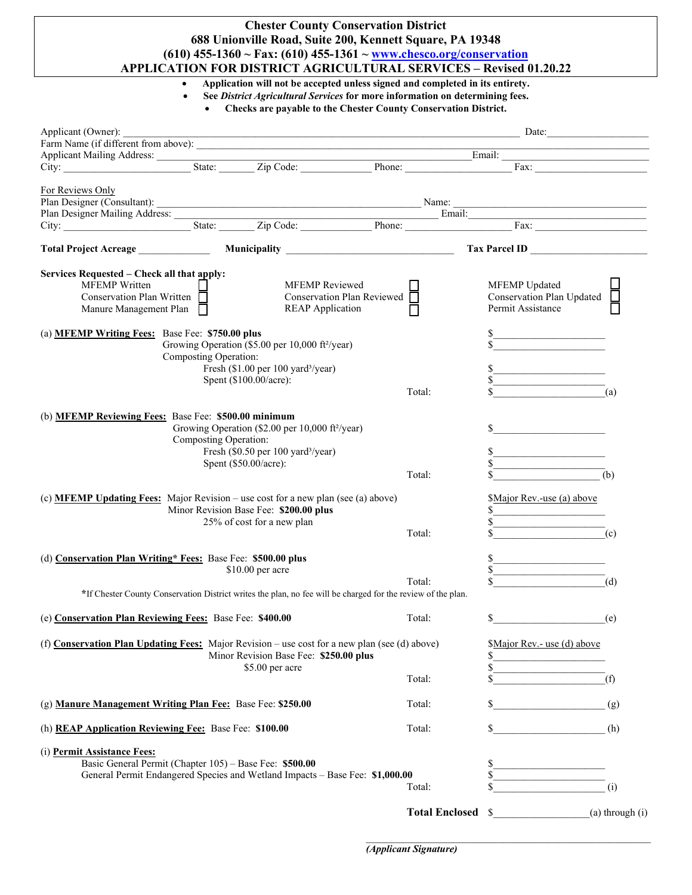## **Chester County Conservation District 688 Unionville Road, Suite 200, Kennett Square, PA 19348 (610) 455-1360 ~ Fax: (610) 455-1361 [~ www.chesco.org/conservation](http://www.chesco.org/conservation) APPLICATION FOR DISTRICT AGRICULTURAL SERVICES – Revised 01.20.22**

• **Application will not be accepted unless signed and completed in its entirety.**

- **See** *District Agricultural Services* **for more information on determining fees.**
	- **Checks are payable to the Chester County Conservation District.**

| Applicant (Owner):                                                                            |                       | Date: 2008. Date: 2008. Date: 2008. Date: 2008. Date: 2008. Date: 2008. Date: 2008. Date: 2008. Date: 2008. Date: 2008. Date: 2008. Date: 2008. Date: 2008. Date: 2008. Date: 2008. Date: 2008. Date: 2008. Date: 2008. Date: |  |                   |                             |                 |  |
|-----------------------------------------------------------------------------------------------|-----------------------|-------------------------------------------------------------------------------------------------------------------------------------------------------------------------------------------------------------------------------|--|-------------------|-----------------------------|-----------------|--|
|                                                                                               |                       |                                                                                                                                                                                                                               |  |                   |                             |                 |  |
|                                                                                               |                       |                                                                                                                                                                                                                               |  |                   |                             |                 |  |
|                                                                                               |                       |                                                                                                                                                                                                                               |  |                   |                             |                 |  |
| For Reviews Only                                                                              |                       |                                                                                                                                                                                                                               |  |                   |                             |                 |  |
|                                                                                               |                       |                                                                                                                                                                                                                               |  |                   |                             |                 |  |
|                                                                                               |                       |                                                                                                                                                                                                                               |  |                   |                             |                 |  |
|                                                                                               |                       |                                                                                                                                                                                                                               |  |                   |                             |                 |  |
|                                                                                               |                       |                                                                                                                                                                                                                               |  |                   |                             |                 |  |
| Total Project Acreage ________________ Municipality ____________________________              |                       |                                                                                                                                                                                                                               |  |                   | Tax Parcel ID               |                 |  |
| Services Requested – Check all that apply:                                                    |                       |                                                                                                                                                                                                                               |  |                   |                             |                 |  |
| <b>MFEMP</b> Written                                                                          |                       | <b>MFEMP</b> Reviewed                                                                                                                                                                                                         |  |                   | MFEMP Updated               |                 |  |
| Conservation Plan Written $\Box$                                                              |                       | Conservation Plan Reviewed $\Box$                                                                                                                                                                                             |  |                   | Conservation Plan Updated   |                 |  |
| Manure Management Plan $\Box$                                                                 |                       | <b>REAP Application</b>                                                                                                                                                                                                       |  |                   | Permit Assistance           |                 |  |
|                                                                                               |                       |                                                                                                                                                                                                                               |  |                   |                             |                 |  |
|                                                                                               |                       |                                                                                                                                                                                                                               |  |                   |                             |                 |  |
| (a) <b>MFEMP Writing Fees:</b> Base Fee: \$750.00 plus                                        |                       | Growing Operation (\$5.00 per 10,000 ft <sup>2</sup> /year)                                                                                                                                                                   |  |                   |                             |                 |  |
|                                                                                               |                       |                                                                                                                                                                                                                               |  |                   |                             |                 |  |
|                                                                                               | Composting Operation: |                                                                                                                                                                                                                               |  |                   |                             |                 |  |
|                                                                                               |                       | Fresh (\$1.00 per 100 yard <sup>3</sup> /year)                                                                                                                                                                                |  |                   |                             |                 |  |
|                                                                                               |                       | Spent (\$100.00/acre):                                                                                                                                                                                                        |  |                   |                             |                 |  |
|                                                                                               |                       |                                                                                                                                                                                                                               |  | Total:            |                             | (a)             |  |
| (b) MFEMP Reviewing Fees: Base Fee: \$500.00 minimum                                          |                       | Growing Operation (\$2.00 per 10,000 ft <sup>2</sup> /year)                                                                                                                                                                   |  |                   |                             |                 |  |
|                                                                                               | Composting Operation: |                                                                                                                                                                                                                               |  |                   |                             |                 |  |
| Fresh (\$0.50 per 100 yard <sup>3</sup> /year)<br>Spent (\$50.00/acre):                       |                       |                                                                                                                                                                                                                               |  |                   |                             |                 |  |
|                                                                                               |                       |                                                                                                                                                                                                                               |  |                   |                             |                 |  |
|                                                                                               |                       |                                                                                                                                                                                                                               |  | Total:            |                             | (b)             |  |
|                                                                                               |                       |                                                                                                                                                                                                                               |  |                   |                             |                 |  |
| (c) <b>MFEMP Updating Fees:</b> Major Revision – use cost for a new plan (see (a) above)      |                       |                                                                                                                                                                                                                               |  |                   | \$Major Rev.-use (a) above  |                 |  |
| Minor Revision Base Fee: \$200.00 plus                                                        |                       |                                                                                                                                                                                                                               |  |                   |                             |                 |  |
|                                                                                               |                       | 25% of cost for a new plan                                                                                                                                                                                                    |  |                   |                             |                 |  |
|                                                                                               |                       |                                                                                                                                                                                                                               |  | Total:            |                             | (c)             |  |
|                                                                                               |                       |                                                                                                                                                                                                                               |  |                   |                             |                 |  |
| (d) Conservation Plan Writing* Fees: Base Fee: \$500.00 plus                                  |                       |                                                                                                                                                                                                                               |  |                   |                             |                 |  |
|                                                                                               |                       | \$10.00 per acre                                                                                                                                                                                                              |  |                   |                             |                 |  |
|                                                                                               |                       |                                                                                                                                                                                                                               |  | Total:            |                             | (d)             |  |
|                                                                                               |                       | *If Chester County Conservation District writes the plan, no fee will be charged for the review of the plan.                                                                                                                  |  |                   |                             |                 |  |
|                                                                                               |                       |                                                                                                                                                                                                                               |  |                   |                             |                 |  |
| (e) Conservation Plan Reviewing Fees: Base Fee: \$400.00                                      |                       |                                                                                                                                                                                                                               |  | Total:            | $\mathbb{S}$                | (e)             |  |
|                                                                                               |                       |                                                                                                                                                                                                                               |  |                   |                             |                 |  |
| (f) Conservation Plan Updating Fees: Major Revision – use cost for a new plan (see (d) above) |                       |                                                                                                                                                                                                                               |  |                   | \$Major Rev.- use (d) above |                 |  |
|                                                                                               |                       | Minor Revision Base Fee: \$250.00 plus                                                                                                                                                                                        |  |                   | \$                          |                 |  |
|                                                                                               |                       | \$5.00 per acre                                                                                                                                                                                                               |  |                   |                             |                 |  |
|                                                                                               |                       |                                                                                                                                                                                                                               |  | Total:            |                             | (f)             |  |
|                                                                                               |                       |                                                                                                                                                                                                                               |  |                   |                             |                 |  |
| (g) Manure Management Writing Plan Fee: Base Fee: \$250.00                                    |                       |                                                                                                                                                                                                                               |  | Total:            | \$                          | (g)             |  |
|                                                                                               |                       |                                                                                                                                                                                                                               |  |                   |                             |                 |  |
| (h) <b>REAP Application Reviewing Fee:</b> Base Fee: \$100.00                                 |                       |                                                                                                                                                                                                                               |  | Total:            | \$                          | (h)             |  |
|                                                                                               |                       |                                                                                                                                                                                                                               |  |                   |                             |                 |  |
| (i) Permit Assistance Fees:                                                                   |                       |                                                                                                                                                                                                                               |  |                   |                             |                 |  |
| Basic General Permit (Chapter 105) - Base Fee: \$500.00                                       |                       |                                                                                                                                                                                                                               |  |                   | \$                          |                 |  |
| General Permit Endangered Species and Wetland Impacts - Base Fee: \$1,000.00                  |                       |                                                                                                                                                                                                                               |  |                   |                             |                 |  |
|                                                                                               |                       |                                                                                                                                                                                                                               |  | Total:            |                             | (i)             |  |
|                                                                                               |                       |                                                                                                                                                                                                                               |  |                   |                             |                 |  |
|                                                                                               |                       |                                                                                                                                                                                                                               |  | Total Enclosed \$ |                             | (a) through (i) |  |

 $\mathcal{L}_\text{max}$  , and the contract of the contract of the contract of the contract of the contract of the contract of the contract of the contract of the contract of the contract of the contract of the contract of the contr